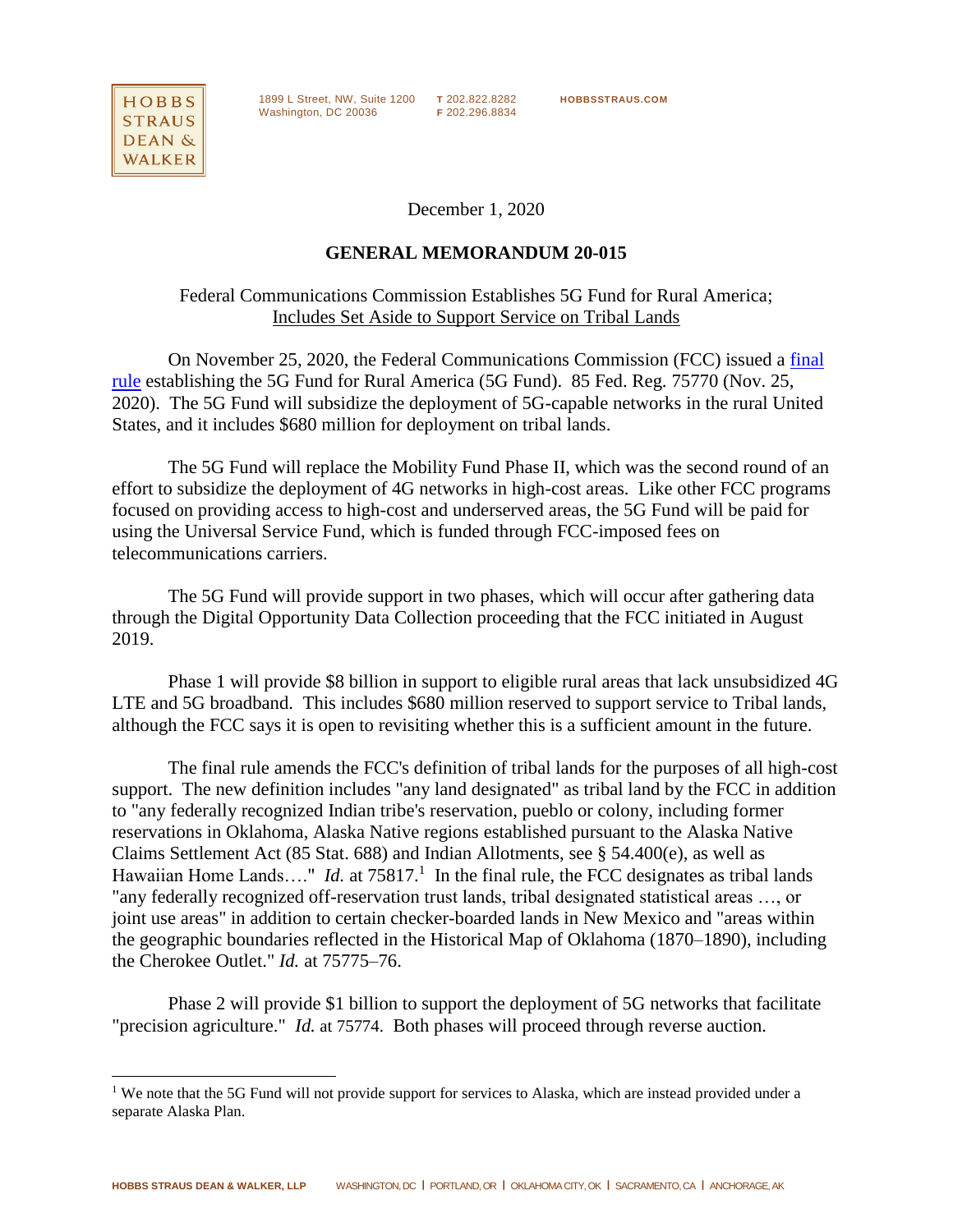

l

1899 L Street, NW, Suite 1200 **T** 202.822.8282 **HOBBSSTRAUS.COM** Washington, DC 20036 **F** 202.296.8834

December 1, 2020

## **GENERAL MEMORANDUM 20-015**

Federal Communications Commission Establishes 5G Fund for Rural America; Includes Set Aside to Support Service on Tribal Lands

On November 25, 2020, the Federal Communications Commission (FCC) issued a [final](https://www.federalregister.gov/documents/2020/11/25/2020-24486/establishing-a-5g-fund-for-rural-america)  [rule](https://www.federalregister.gov/documents/2020/11/25/2020-24486/establishing-a-5g-fund-for-rural-america) establishing the 5G Fund for Rural America (5G Fund). 85 Fed. Reg. 75770 (Nov. 25, 2020). The 5G Fund will subsidize the deployment of 5G-capable networks in the rural United States, and it includes \$680 million for deployment on tribal lands.

The 5G Fund will replace the Mobility Fund Phase II, which was the second round of an effort to subsidize the deployment of 4G networks in high-cost areas. Like other FCC programs focused on providing access to high-cost and underserved areas, the 5G Fund will be paid for using the Universal Service Fund, which is funded through FCC-imposed fees on telecommunications carriers.

The 5G Fund will provide support in two phases, which will occur after gathering data through the Digital Opportunity Data Collection proceeding that the FCC initiated in August 2019.

Phase 1 will provide \$8 billion in support to eligible rural areas that lack unsubsidized 4G LTE and 5G broadband. This includes \$680 million reserved to support service to Tribal lands, although the FCC says it is open to revisiting whether this is a sufficient amount in the future.

The final rule amends the FCC's definition of tribal lands for the purposes of all high-cost support. The new definition includes "any land designated" as tribal land by the FCC in addition to "any federally recognized Indian tribe's reservation, pueblo or colony, including former reservations in Oklahoma, Alaska Native regions established pursuant to the Alaska Native Claims Settlement Act (85 Stat. 688) and Indian Allotments, see § 54.400(e), as well as Hawaiian Home Lands...." *Id.* at  $75817<sup>1</sup>$  In the final rule, the FCC designates as tribal lands "any federally recognized off-reservation trust lands, tribal designated statistical areas …, or joint use areas" in addition to certain checker-boarded lands in New Mexico and "areas within the geographic boundaries reflected in the Historical Map of Oklahoma (1870–1890), including the Cherokee Outlet." *Id.* at 75775–76.

Phase 2 will provide \$1 billion to support the deployment of 5G networks that facilitate "precision agriculture." *Id.* at 75774. Both phases will proceed through reverse auction.

<sup>&</sup>lt;sup>1</sup> We note that the 5G Fund will not provide support for services to Alaska, which are instead provided under a separate Alaska Plan.